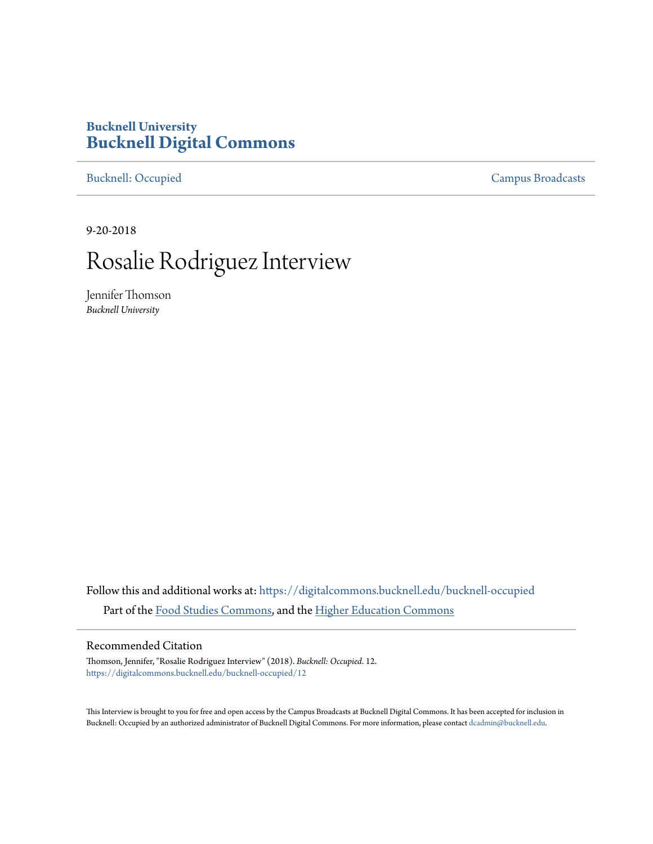# **Bucknell University [Bucknell Digital Commons](https://digitalcommons.bucknell.edu?utm_source=digitalcommons.bucknell.edu%2Fbucknell-occupied%2F12&utm_medium=PDF&utm_campaign=PDFCoverPages)**

[Bucknell: Occupied](https://digitalcommons.bucknell.edu/bucknell-occupied?utm_source=digitalcommons.bucknell.edu%2Fbucknell-occupied%2F12&utm_medium=PDF&utm_campaign=PDFCoverPages) [Campus Broadcasts](https://digitalcommons.bucknell.edu/campus-broadcasts?utm_source=digitalcommons.bucknell.edu%2Fbucknell-occupied%2F12&utm_medium=PDF&utm_campaign=PDFCoverPages)

9-20-2018

# Rosalie Rodriguez Interview

Jennifer Thomson *Bucknell University*

Follow this and additional works at: [https://digitalcommons.bucknell.edu/bucknell-occupied](https://digitalcommons.bucknell.edu/bucknell-occupied?utm_source=digitalcommons.bucknell.edu%2Fbucknell-occupied%2F12&utm_medium=PDF&utm_campaign=PDFCoverPages) Part of the [Food Studies Commons,](http://network.bepress.com/hgg/discipline/1386?utm_source=digitalcommons.bucknell.edu%2Fbucknell-occupied%2F12&utm_medium=PDF&utm_campaign=PDFCoverPages) and the [Higher Education Commons](http://network.bepress.com/hgg/discipline/1245?utm_source=digitalcommons.bucknell.edu%2Fbucknell-occupied%2F12&utm_medium=PDF&utm_campaign=PDFCoverPages)

# Recommended Citation

Thomson, Jennifer, "Rosalie Rodriguez Interview" (2018). *Bucknell: Occupied*. 12. [https://digitalcommons.bucknell.edu/bucknell-occupied/12](https://digitalcommons.bucknell.edu/bucknell-occupied/12?utm_source=digitalcommons.bucknell.edu%2Fbucknell-occupied%2F12&utm_medium=PDF&utm_campaign=PDFCoverPages)

This Interview is brought to you for free and open access by the Campus Broadcasts at Bucknell Digital Commons. It has been accepted for inclusion in Bucknell: Occupied by an authorized administrator of Bucknell Digital Commons. For more information, please contact [dcadmin@bucknell.edu](mailto:dcadmin@bucknell.edu).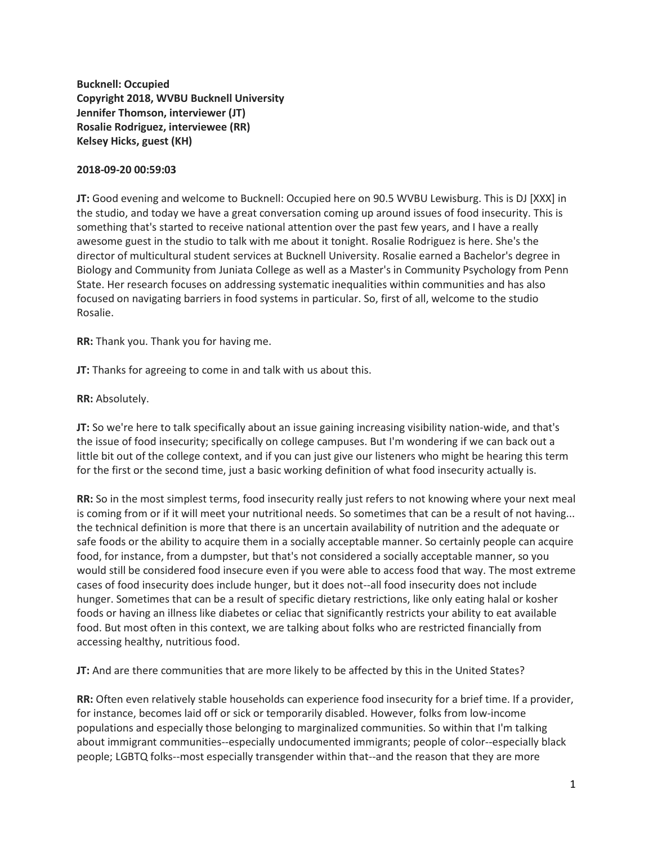**Bucknell: Occupied Copyright 2018, WVBU Bucknell University Jennifer Thomson, interviewer (JT) Rosalie Rodriguez, interviewee (RR) Kelsey Hicks, guest (KH)**

### **2018-09-20 00:59:03**

**JT:** Good evening and welcome to Bucknell: Occupied here on 90.5 WVBU Lewisburg. This is DJ [XXX] in the studio, and today we have a great conversation coming up around issues of food insecurity. This is something that's started to receive national attention over the past few years, and I have a really awesome guest in the studio to talk with me about it tonight. Rosalie Rodriguez is here. She's the director of multicultural student services at Bucknell University. Rosalie earned a Bachelor's degree in Biology and Community from Juniata College as well as a Master's in Community Psychology from Penn State. Her research focuses on addressing systematic inequalities within communities and has also focused on navigating barriers in food systems in particular. So, first of all, welcome to the studio Rosalie.

**RR:** Thank you. Thank you for having me.

**JT:** Thanks for agreeing to come in and talk with us about this.

**RR:** Absolutely.

**JT:** So we're here to talk specifically about an issue gaining increasing visibility nation-wide, and that's the issue of food insecurity; specifically on college campuses. But I'm wondering if we can back out a little bit out of the college context, and if you can just give our listeners who might be hearing this term for the first or the second time, just a basic working definition of what food insecurity actually is.

**RR:** So in the most simplest terms, food insecurity really just refers to not knowing where your next meal is coming from or if it will meet your nutritional needs. So sometimes that can be a result of not having... the technical definition is more that there is an uncertain availability of nutrition and the adequate or safe foods or the ability to acquire them in a socially acceptable manner. So certainly people can acquire food, for instance, from a dumpster, but that's not considered a socially acceptable manner, so you would still be considered food insecure even if you were able to access food that way. The most extreme cases of food insecurity does include hunger, but it does not--all food insecurity does not include hunger. Sometimes that can be a result of specific dietary restrictions, like only eating halal or kosher foods or having an illness like diabetes or celiac that significantly restricts your ability to eat available food. But most often in this context, we are talking about folks who are restricted financially from accessing healthy, nutritious food.

**JT:** And are there communities that are more likely to be affected by this in the United States?

**RR:** Often even relatively stable households can experience food insecurity for a brief time. If a provider, for instance, becomes laid off or sick or temporarily disabled. However, folks from low-income populations and especially those belonging to marginalized communities. So within that I'm talking about immigrant communities--especially undocumented immigrants; people of color--especially black people; LGBTQ folks--most especially transgender within that--and the reason that they are more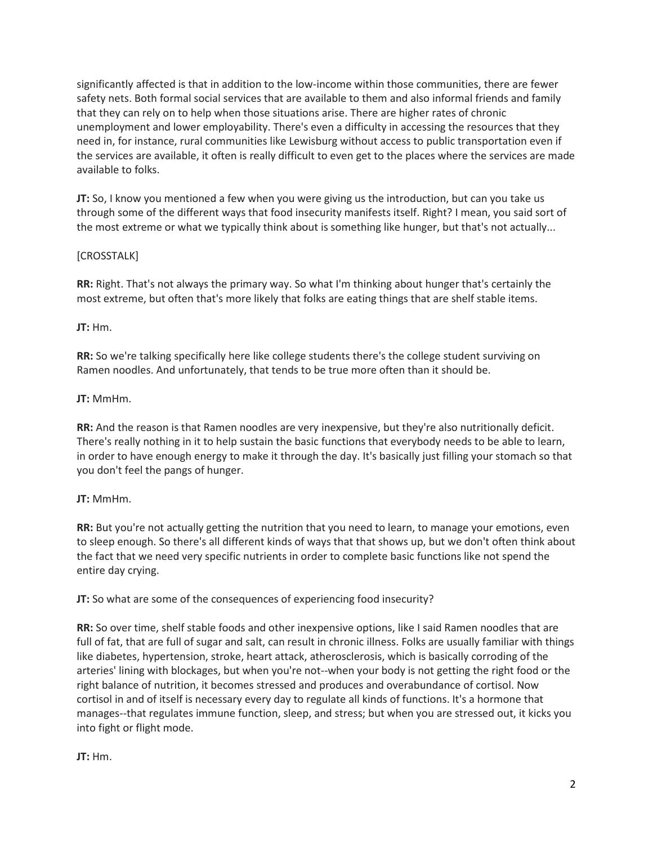significantly affected is that in addition to the low-income within those communities, there are fewer safety nets. Both formal social services that are available to them and also informal friends and family that they can rely on to help when those situations arise. There are higher rates of chronic unemployment and lower employability. There's even a difficulty in accessing the resources that they need in, for instance, rural communities like Lewisburg without access to public transportation even if the services are available, it often is really difficult to even get to the places where the services are made available to folks.

**JT:** So, I know you mentioned a few when you were giving us the introduction, but can you take us through some of the different ways that food insecurity manifests itself. Right? I mean, you said sort of the most extreme or what we typically think about is something like hunger, but that's not actually...

# [CROSSTALK]

**RR:** Right. That's not always the primary way. So what I'm thinking about hunger that's certainly the most extreme, but often that's more likely that folks are eating things that are shelf stable items.

# **JT:** Hm.

**RR:** So we're talking specifically here like college students there's the college student surviving on Ramen noodles. And unfortunately, that tends to be true more often than it should be.

# **JT:** MmHm.

**RR:** And the reason is that Ramen noodles are very inexpensive, but they're also nutritionally deficit. There's really nothing in it to help sustain the basic functions that everybody needs to be able to learn, in order to have enough energy to make it through the day. It's basically just filling your stomach so that you don't feel the pangs of hunger.

# **JT:** MmHm.

**RR:** But you're not actually getting the nutrition that you need to learn, to manage your emotions, even to sleep enough. So there's all different kinds of ways that that shows up, but we don't often think about the fact that we need very specific nutrients in order to complete basic functions like not spend the entire day crying.

**JT:** So what are some of the consequences of experiencing food insecurity?

**RR:** So over time, shelf stable foods and other inexpensive options, like I said Ramen noodles that are full of fat, that are full of sugar and salt, can result in chronic illness. Folks are usually familiar with things like diabetes, hypertension, stroke, heart attack, atherosclerosis, which is basically corroding of the arteries' lining with blockages, but when you're not--when your body is not getting the right food or the right balance of nutrition, it becomes stressed and produces and overabundance of cortisol. Now cortisol in and of itself is necessary every day to regulate all kinds of functions. It's a hormone that manages--that regulates immune function, sleep, and stress; but when you are stressed out, it kicks you into fight or flight mode.

# **JT:** Hm.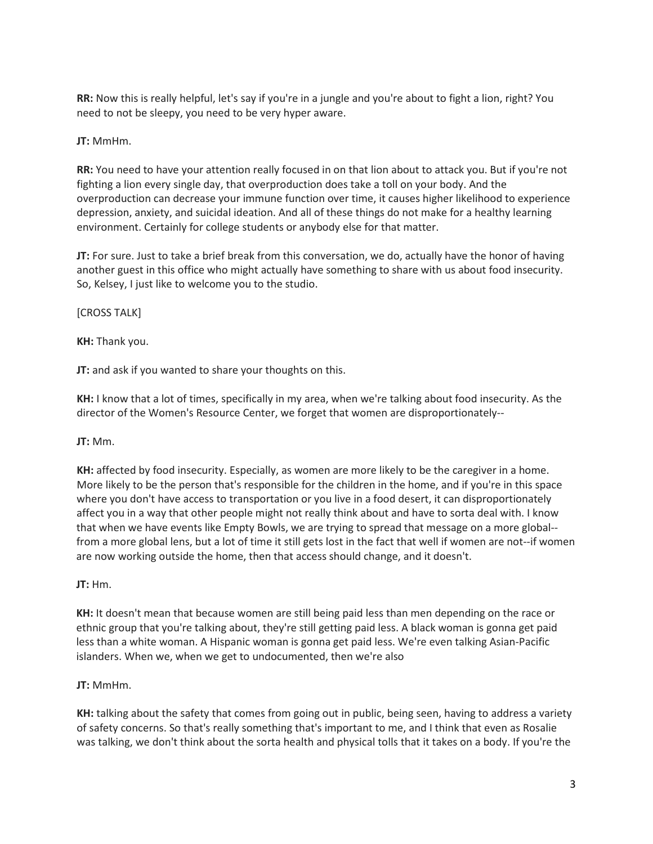**RR:** Now this is really helpful, let's say if you're in a jungle and you're about to fight a lion, right? You need to not be sleepy, you need to be very hyper aware.

# **JT:** MmHm.

**RR:** You need to have your attention really focused in on that lion about to attack you. But if you're not fighting a lion every single day, that overproduction does take a toll on your body. And the overproduction can decrease your immune function over time, it causes higher likelihood to experience depression, anxiety, and suicidal ideation. And all of these things do not make for a healthy learning environment. Certainly for college students or anybody else for that matter.

**JT:** For sure. Just to take a brief break from this conversation, we do, actually have the honor of having another guest in this office who might actually have something to share with us about food insecurity. So, Kelsey, I just like to welcome you to the studio.

# [CROSS TALK]

**KH:** Thank you.

**JT:** and ask if you wanted to share your thoughts on this.

**KH:** I know that a lot of times, specifically in my area, when we're talking about food insecurity. As the director of the Women's Resource Center, we forget that women are disproportionately--

### **JT:** Mm.

**KH:** affected by food insecurity. Especially, as women are more likely to be the caregiver in a home. More likely to be the person that's responsible for the children in the home, and if you're in this space where you don't have access to transportation or you live in a food desert, it can disproportionately affect you in a way that other people might not really think about and have to sorta deal with. I know that when we have events like Empty Bowls, we are trying to spread that message on a more global- from a more global lens, but a lot of time it still gets lost in the fact that well if women are not--if women are now working outside the home, then that access should change, and it doesn't.

### **JT:** Hm.

**KH:** It doesn't mean that because women are still being paid less than men depending on the race or ethnic group that you're talking about, they're still getting paid less. A black woman is gonna get paid less than a white woman. A Hispanic woman is gonna get paid less. We're even talking Asian-Pacific islanders. When we, when we get to undocumented, then we're also

# **JT:** MmHm.

**KH:** talking about the safety that comes from going out in public, being seen, having to address a variety of safety concerns. So that's really something that's important to me, and I think that even as Rosalie was talking, we don't think about the sorta health and physical tolls that it takes on a body. If you're the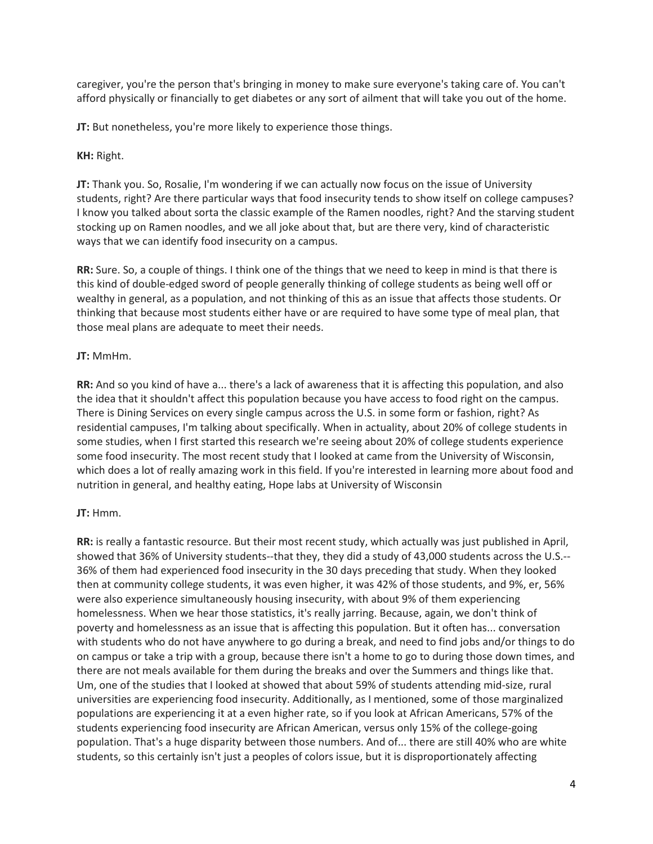caregiver, you're the person that's bringing in money to make sure everyone's taking care of. You can't afford physically or financially to get diabetes or any sort of ailment that will take you out of the home.

**JT:** But nonetheless, you're more likely to experience those things.

**KH:** Right.

**JT:** Thank you. So, Rosalie, I'm wondering if we can actually now focus on the issue of University students, right? Are there particular ways that food insecurity tends to show itself on college campuses? I know you talked about sorta the classic example of the Ramen noodles, right? And the starving student stocking up on Ramen noodles, and we all joke about that, but are there very, kind of characteristic ways that we can identify food insecurity on a campus.

**RR:** Sure. So, a couple of things. I think one of the things that we need to keep in mind is that there is this kind of double-edged sword of people generally thinking of college students as being well off or wealthy in general, as a population, and not thinking of this as an issue that affects those students. Or thinking that because most students either have or are required to have some type of meal plan, that those meal plans are adequate to meet their needs.

# **JT:** MmHm.

**RR:** And so you kind of have a... there's a lack of awareness that it is affecting this population, and also the idea that it shouldn't affect this population because you have access to food right on the campus. There is Dining Services on every single campus across the U.S. in some form or fashion, right? As residential campuses, I'm talking about specifically. When in actuality, about 20% of college students in some studies, when I first started this research we're seeing about 20% of college students experience some food insecurity. The most recent study that I looked at came from the University of Wisconsin, which does a lot of really amazing work in this field. If you're interested in learning more about food and nutrition in general, and healthy eating, Hope labs at University of Wisconsin

### **JT:** Hmm.

**RR:** is really a fantastic resource. But their most recent study, which actually was just published in April, showed that 36% of University students--that they, they did a study of 43,000 students across the U.S.-- 36% of them had experienced food insecurity in the 30 days preceding that study. When they looked then at community college students, it was even higher, it was 42% of those students, and 9%, er, 56% were also experience simultaneously housing insecurity, with about 9% of them experiencing homelessness. When we hear those statistics, it's really jarring. Because, again, we don't think of poverty and homelessness as an issue that is affecting this population. But it often has... conversation with students who do not have anywhere to go during a break, and need to find jobs and/or things to do on campus or take a trip with a group, because there isn't a home to go to during those down times, and there are not meals available for them during the breaks and over the Summers and things like that. Um, one of the studies that I looked at showed that about 59% of students attending mid-size, rural universities are experiencing food insecurity. Additionally, as I mentioned, some of those marginalized populations are experiencing it at a even higher rate, so if you look at African Americans, 57% of the students experiencing food insecurity are African American, versus only 15% of the college-going population. That's a huge disparity between those numbers. And of... there are still 40% who are white students, so this certainly isn't just a peoples of colors issue, but it is disproportionately affecting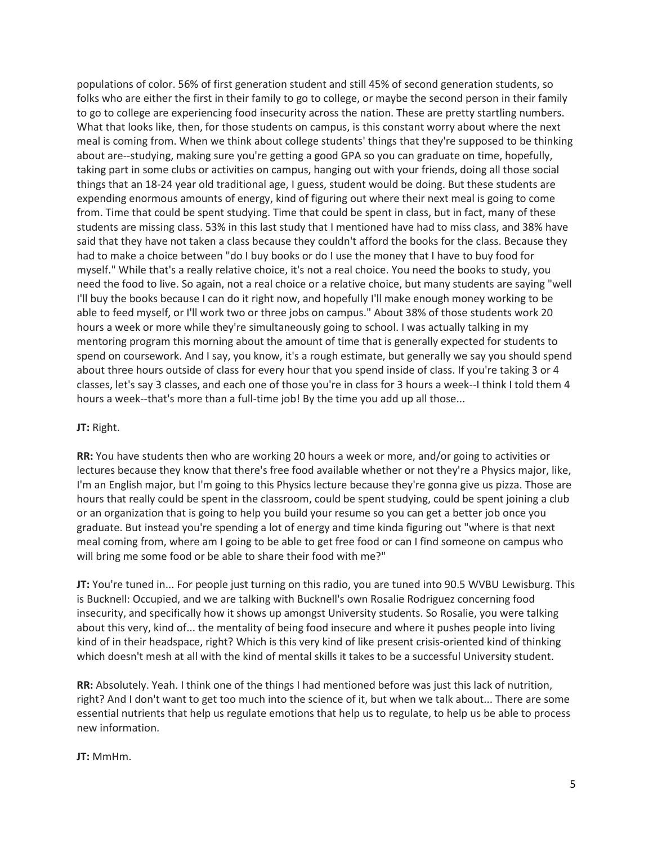populations of color. 56% of first generation student and still 45% of second generation students, so folks who are either the first in their family to go to college, or maybe the second person in their family to go to college are experiencing food insecurity across the nation. These are pretty startling numbers. What that looks like, then, for those students on campus, is this constant worry about where the next meal is coming from. When we think about college students' things that they're supposed to be thinking about are--studying, making sure you're getting a good GPA so you can graduate on time, hopefully, taking part in some clubs or activities on campus, hanging out with your friends, doing all those social things that an 18-24 year old traditional age, I guess, student would be doing. But these students are expending enormous amounts of energy, kind of figuring out where their next meal is going to come from. Time that could be spent studying. Time that could be spent in class, but in fact, many of these students are missing class. 53% in this last study that I mentioned have had to miss class, and 38% have said that they have not taken a class because they couldn't afford the books for the class. Because they had to make a choice between "do I buy books or do I use the money that I have to buy food for myself." While that's a really relative choice, it's not a real choice. You need the books to study, you need the food to live. So again, not a real choice or a relative choice, but many students are saying "well I'll buy the books because I can do it right now, and hopefully I'll make enough money working to be able to feed myself, or I'll work two or three jobs on campus." About 38% of those students work 20 hours a week or more while they're simultaneously going to school. I was actually talking in my mentoring program this morning about the amount of time that is generally expected for students to spend on coursework. And I say, you know, it's a rough estimate, but generally we say you should spend about three hours outside of class for every hour that you spend inside of class. If you're taking 3 or 4 classes, let's say 3 classes, and each one of those you're in class for 3 hours a week--I think I told them 4 hours a week--that's more than a full-time job! By the time you add up all those...

#### **JT:** Right.

**RR:** You have students then who are working 20 hours a week or more, and/or going to activities or lectures because they know that there's free food available whether or not they're a Physics major, like, I'm an English major, but I'm going to this Physics lecture because they're gonna give us pizza. Those are hours that really could be spent in the classroom, could be spent studying, could be spent joining a club or an organization that is going to help you build your resume so you can get a better job once you graduate. But instead you're spending a lot of energy and time kinda figuring out "where is that next meal coming from, where am I going to be able to get free food or can I find someone on campus who will bring me some food or be able to share their food with me?"

**JT:** You're tuned in... For people just turning on this radio, you are tuned into 90.5 WVBU Lewisburg. This is Bucknell: Occupied, and we are talking with Bucknell's own Rosalie Rodriguez concerning food insecurity, and specifically how it shows up amongst University students. So Rosalie, you were talking about this very, kind of... the mentality of being food insecure and where it pushes people into living kind of in their headspace, right? Which is this very kind of like present crisis-oriented kind of thinking which doesn't mesh at all with the kind of mental skills it takes to be a successful University student.

**RR:** Absolutely. Yeah. I think one of the things I had mentioned before was just this lack of nutrition, right? And I don't want to get too much into the science of it, but when we talk about... There are some essential nutrients that help us regulate emotions that help us to regulate, to help us be able to process new information.

#### **JT:** MmHm.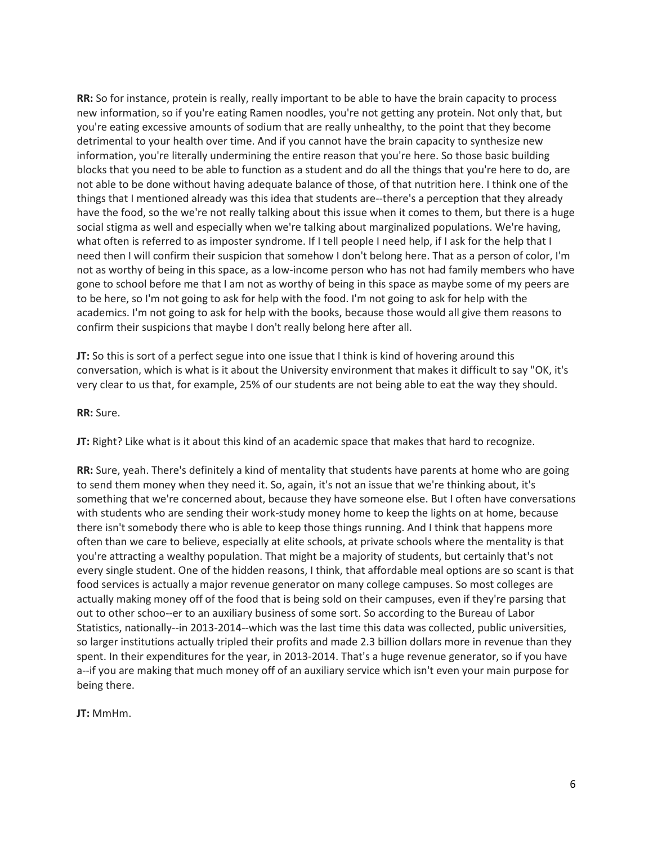**RR:** So for instance, protein is really, really important to be able to have the brain capacity to process new information, so if you're eating Ramen noodles, you're not getting any protein. Not only that, but you're eating excessive amounts of sodium that are really unhealthy, to the point that they become detrimental to your health over time. And if you cannot have the brain capacity to synthesize new information, you're literally undermining the entire reason that you're here. So those basic building blocks that you need to be able to function as a student and do all the things that you're here to do, are not able to be done without having adequate balance of those, of that nutrition here. I think one of the things that I mentioned already was this idea that students are--there's a perception that they already have the food, so the we're not really talking about this issue when it comes to them, but there is a huge social stigma as well and especially when we're talking about marginalized populations. We're having, what often is referred to as imposter syndrome. If I tell people I need help, if I ask for the help that I need then I will confirm their suspicion that somehow I don't belong here. That as a person of color, I'm not as worthy of being in this space, as a low-income person who has not had family members who have gone to school before me that I am not as worthy of being in this space as maybe some of my peers are to be here, so I'm not going to ask for help with the food. I'm not going to ask for help with the academics. I'm not going to ask for help with the books, because those would all give them reasons to confirm their suspicions that maybe I don't really belong here after all.

**JT:** So this is sort of a perfect segue into one issue that I think is kind of hovering around this conversation, which is what is it about the University environment that makes it difficult to say "OK, it's very clear to us that, for example, 25% of our students are not being able to eat the way they should.

#### **RR:** Sure.

**JT:** Right? Like what is it about this kind of an academic space that makes that hard to recognize.

**RR:** Sure, yeah. There's definitely a kind of mentality that students have parents at home who are going to send them money when they need it. So, again, it's not an issue that we're thinking about, it's something that we're concerned about, because they have someone else. But I often have conversations with students who are sending their work-study money home to keep the lights on at home, because there isn't somebody there who is able to keep those things running. And I think that happens more often than we care to believe, especially at elite schools, at private schools where the mentality is that you're attracting a wealthy population. That might be a majority of students, but certainly that's not every single student. One of the hidden reasons, I think, that affordable meal options are so scant is that food services is actually a major revenue generator on many college campuses. So most colleges are actually making money off of the food that is being sold on their campuses, even if they're parsing that out to other schoo--er to an auxiliary business of some sort. So according to the Bureau of Labor Statistics, nationally--in 2013-2014--which was the last time this data was collected, public universities, so larger institutions actually tripled their profits and made 2.3 billion dollars more in revenue than they spent. In their expenditures for the year, in 2013-2014. That's a huge revenue generator, so if you have a--if you are making that much money off of an auxiliary service which isn't even your main purpose for being there.

**JT:** MmHm.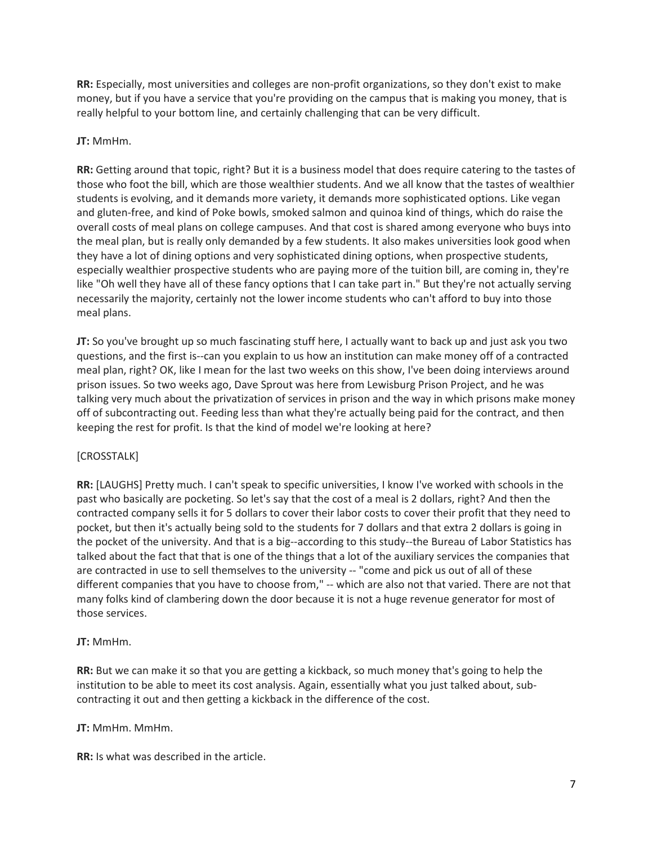**RR:** Especially, most universities and colleges are non-profit organizations, so they don't exist to make money, but if you have a service that you're providing on the campus that is making you money, that is really helpful to your bottom line, and certainly challenging that can be very difficult.

# **JT:** MmHm.

**RR:** Getting around that topic, right? But it is a business model that does require catering to the tastes of those who foot the bill, which are those wealthier students. And we all know that the tastes of wealthier students is evolving, and it demands more variety, it demands more sophisticated options. Like vegan and gluten-free, and kind of Poke bowls, smoked salmon and quinoa kind of things, which do raise the overall costs of meal plans on college campuses. And that cost is shared among everyone who buys into the meal plan, but is really only demanded by a few students. It also makes universities look good when they have a lot of dining options and very sophisticated dining options, when prospective students, especially wealthier prospective students who are paying more of the tuition bill, are coming in, they're like "Oh well they have all of these fancy options that I can take part in." But they're not actually serving necessarily the majority, certainly not the lower income students who can't afford to buy into those meal plans.

**JT:** So you've brought up so much fascinating stuff here, I actually want to back up and just ask you two questions, and the first is--can you explain to us how an institution can make money off of a contracted meal plan, right? OK, like I mean for the last two weeks on this show, I've been doing interviews around prison issues. So two weeks ago, Dave Sprout was here from Lewisburg Prison Project, and he was talking very much about the privatization of services in prison and the way in which prisons make money off of subcontracting out. Feeding less than what they're actually being paid for the contract, and then keeping the rest for profit. Is that the kind of model we're looking at here?

# [CROSSTALK]

**RR:** [LAUGHS] Pretty much. I can't speak to specific universities, I know I've worked with schools in the past who basically are pocketing. So let's say that the cost of a meal is 2 dollars, right? And then the contracted company sells it for 5 dollars to cover their labor costs to cover their profit that they need to pocket, but then it's actually being sold to the students for 7 dollars and that extra 2 dollars is going in the pocket of the university. And that is a big--according to this study--the Bureau of Labor Statistics has talked about the fact that that is one of the things that a lot of the auxiliary services the companies that are contracted in use to sell themselves to the university -- "come and pick us out of all of these different companies that you have to choose from," -- which are also not that varied. There are not that many folks kind of clambering down the door because it is not a huge revenue generator for most of those services.

# **JT:** MmHm.

**RR:** But we can make it so that you are getting a kickback, so much money that's going to help the institution to be able to meet its cost analysis. Again, essentially what you just talked about, subcontracting it out and then getting a kickback in the difference of the cost.

### **JT:** MmHm. MmHm.

**RR:** Is what was described in the article.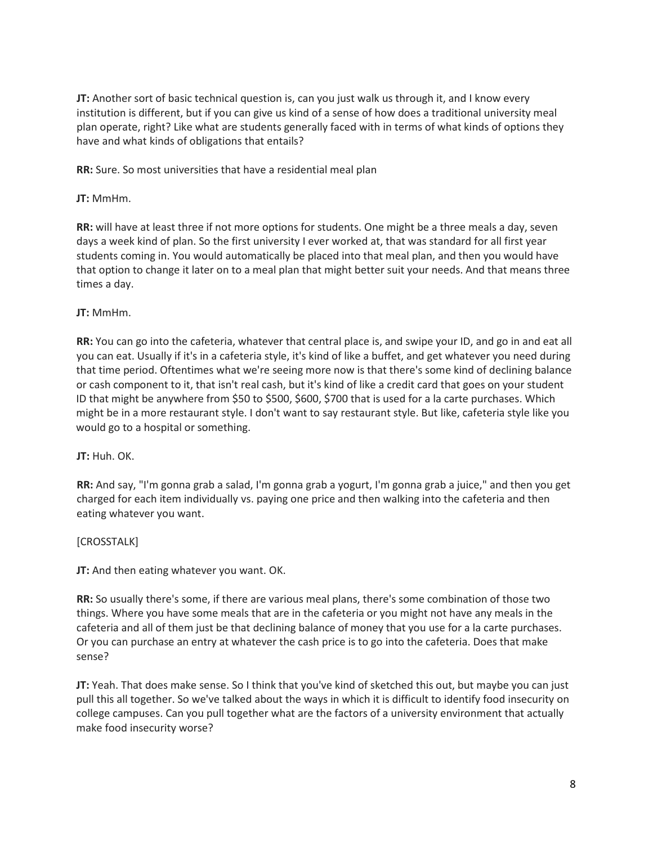**JT:** Another sort of basic technical question is, can you just walk us through it, and I know every institution is different, but if you can give us kind of a sense of how does a traditional university meal plan operate, right? Like what are students generally faced with in terms of what kinds of options they have and what kinds of obligations that entails?

**RR:** Sure. So most universities that have a residential meal plan

**JT:** MmHm.

**RR:** will have at least three if not more options for students. One might be a three meals a day, seven days a week kind of plan. So the first university I ever worked at, that was standard for all first year students coming in. You would automatically be placed into that meal plan, and then you would have that option to change it later on to a meal plan that might better suit your needs. And that means three times a day.

# **JT:** MmHm.

**RR:** You can go into the cafeteria, whatever that central place is, and swipe your ID, and go in and eat all you can eat. Usually if it's in a cafeteria style, it's kind of like a buffet, and get whatever you need during that time period. Oftentimes what we're seeing more now is that there's some kind of declining balance or cash component to it, that isn't real cash, but it's kind of like a credit card that goes on your student ID that might be anywhere from \$50 to \$500, \$600, \$700 that is used for a la carte purchases. Which might be in a more restaurant style. I don't want to say restaurant style. But like, cafeteria style like you would go to a hospital or something.

### **JT:** Huh. OK.

**RR:** And say, "I'm gonna grab a salad, I'm gonna grab a yogurt, I'm gonna grab a juice," and then you get charged for each item individually vs. paying one price and then walking into the cafeteria and then eating whatever you want.

### [CROSSTALK]

**JT:** And then eating whatever you want. OK.

**RR:** So usually there's some, if there are various meal plans, there's some combination of those two things. Where you have some meals that are in the cafeteria or you might not have any meals in the cafeteria and all of them just be that declining balance of money that you use for a la carte purchases. Or you can purchase an entry at whatever the cash price is to go into the cafeteria. Does that make sense?

**JT:** Yeah. That does make sense. So I think that you've kind of sketched this out, but maybe you can just pull this all together. So we've talked about the ways in which it is difficult to identify food insecurity on college campuses. Can you pull together what are the factors of a university environment that actually make food insecurity worse?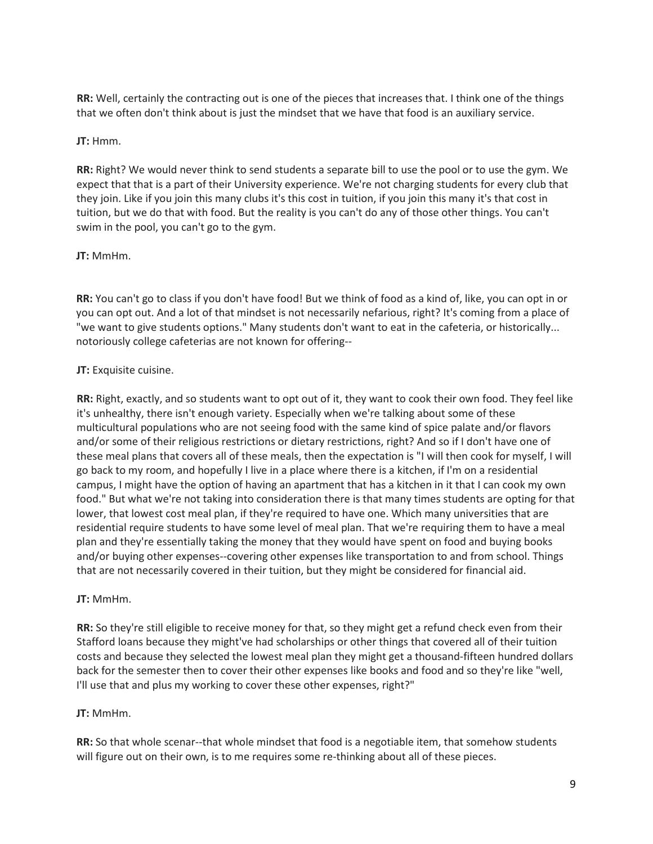**RR:** Well, certainly the contracting out is one of the pieces that increases that. I think one of the things that we often don't think about is just the mindset that we have that food is an auxiliary service.

# **JT:** Hmm.

**RR:** Right? We would never think to send students a separate bill to use the pool or to use the gym. We expect that that is a part of their University experience. We're not charging students for every club that they join. Like if you join this many clubs it's this cost in tuition, if you join this many it's that cost in tuition, but we do that with food. But the reality is you can't do any of those other things. You can't swim in the pool, you can't go to the gym.

# **JT:** MmHm.

**RR:** You can't go to class if you don't have food! But we think of food as a kind of, like, you can opt in or you can opt out. And a lot of that mindset is not necessarily nefarious, right? It's coming from a place of "we want to give students options." Many students don't want to eat in the cafeteria, or historically... notoriously college cafeterias are not known for offering--

# **JT:** Exquisite cuisine.

**RR:** Right, exactly, and so students want to opt out of it, they want to cook their own food. They feel like it's unhealthy, there isn't enough variety. Especially when we're talking about some of these multicultural populations who are not seeing food with the same kind of spice palate and/or flavors and/or some of their religious restrictions or dietary restrictions, right? And so if I don't have one of these meal plans that covers all of these meals, then the expectation is "I will then cook for myself, I will go back to my room, and hopefully I live in a place where there is a kitchen, if I'm on a residential campus, I might have the option of having an apartment that has a kitchen in it that I can cook my own food." But what we're not taking into consideration there is that many times students are opting for that lower, that lowest cost meal plan, if they're required to have one. Which many universities that are residential require students to have some level of meal plan. That we're requiring them to have a meal plan and they're essentially taking the money that they would have spent on food and buying books and/or buying other expenses--covering other expenses like transportation to and from school. Things that are not necessarily covered in their tuition, but they might be considered for financial aid.

### **JT:** MmHm.

**RR:** So they're still eligible to receive money for that, so they might get a refund check even from their Stafford loans because they might've had scholarships or other things that covered all of their tuition costs and because they selected the lowest meal plan they might get a thousand-fifteen hundred dollars back for the semester then to cover their other expenses like books and food and so they're like "well, I'll use that and plus my working to cover these other expenses, right?"

### **JT:** MmHm.

**RR:** So that whole scenar--that whole mindset that food is a negotiable item, that somehow students will figure out on their own, is to me requires some re-thinking about all of these pieces.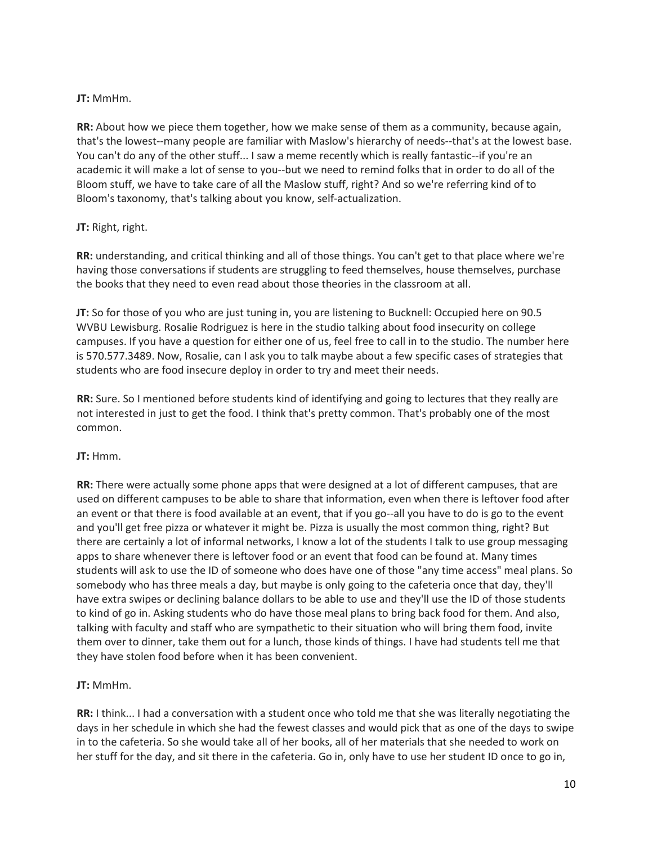# **JT:** MmHm.

**RR:** About how we piece them together, how we make sense of them as a community, because again, that's the lowest--many people are familiar with Maslow's hierarchy of needs--that's at the lowest base. You can't do any of the other stuff... I saw a meme recently which is really fantastic--if you're an academic it will make a lot of sense to you--but we need to remind folks that in order to do all of the Bloom stuff, we have to take care of all the Maslow stuff, right? And so we're referring kind of to Bloom's taxonomy, that's talking about you know, self-actualization.

# **JT:** Right, right.

**RR:** understanding, and critical thinking and all of those things. You can't get to that place where we're having those conversations if students are struggling to feed themselves, house themselves, purchase the books that they need to even read about those theories in the classroom at all.

**JT:** So for those of you who are just tuning in, you are listening to Bucknell: Occupied here on 90.5 WVBU Lewisburg. Rosalie Rodriguez is here in the studio talking about food insecurity on college campuses. If you have a question for either one of us, feel free to call in to the studio. The number here is 570.577.3489. Now, Rosalie, can I ask you to talk maybe about a few specific cases of strategies that students who are food insecure deploy in order to try and meet their needs.

**RR:** Sure. So I mentioned before students kind of identifying and going to lectures that they really are not interested in just to get the food. I think that's pretty common. That's probably one of the most common.

### **JT:** Hmm.

**RR:** There were actually some phone apps that were designed at a lot of different campuses, that are used on different campuses to be able to share that information, even when there is leftover food after an event or that there is food available at an event, that if you go--all you have to do is go to the event and you'll get free pizza or whatever it might be. Pizza is usually the most common thing, right? But there are certainly a lot of informal networks, I know a lot of the students I talk to use group messaging apps to share whenever there is leftover food or an event that food can be found at. Many times students will ask to use the ID of someone who does have one of those "any time access" meal plans. So somebody who has three meals a day, but maybe is only going to the cafeteria once that day, they'll have extra swipes or declining balance dollars to be able to use and they'll use the ID of those students to kind of go in. Asking students who do have those meal plans to bring back food for them. And also, talking with faculty and staff who are sympathetic to their situation who will bring them food, invite them over to dinner, take them out for a lunch, those kinds of things. I have had students tell me that they have stolen food before when it has been convenient.

# **JT:** MmHm.

**RR:** I think... I had a conversation with a student once who told me that she was literally negotiating the days in her schedule in which she had the fewest classes and would pick that as one of the days to swipe in to the cafeteria. So she would take all of her books, all of her materials that she needed to work on her stuff for the day, and sit there in the cafeteria. Go in, only have to use her student ID once to go in,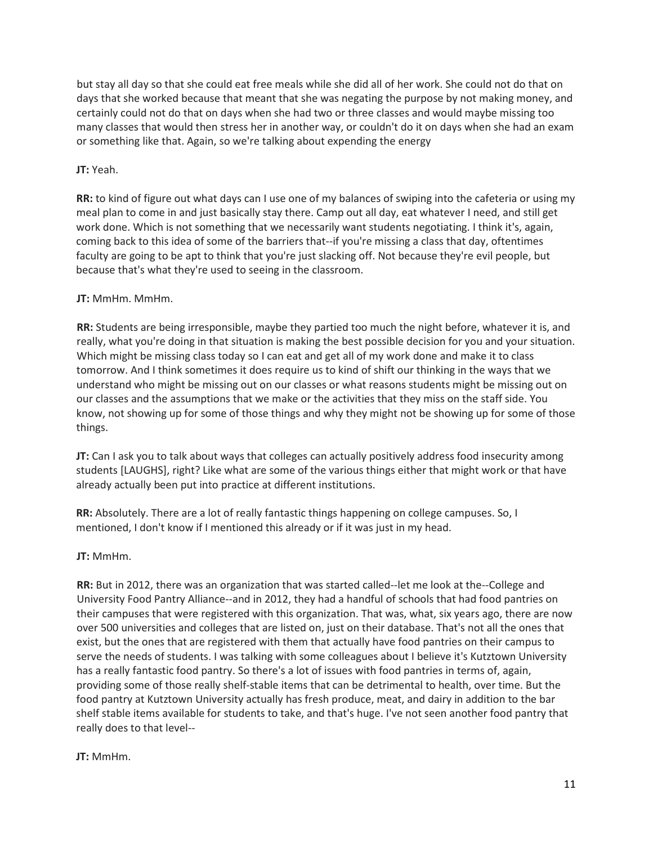but stay all day so that she could eat free meals while she did all of her work. She could not do that on days that she worked because that meant that she was negating the purpose by not making money, and certainly could not do that on days when she had two or three classes and would maybe missing too many classes that would then stress her in another way, or couldn't do it on days when she had an exam or something like that. Again, so we're talking about expending the energy

# **JT:** Yeah.

**RR:** to kind of figure out what days can I use one of my balances of swiping into the cafeteria or using my meal plan to come in and just basically stay there. Camp out all day, eat whatever I need, and still get work done. Which is not something that we necessarily want students negotiating. I think it's, again, coming back to this idea of some of the barriers that--if you're missing a class that day, oftentimes faculty are going to be apt to think that you're just slacking off. Not because they're evil people, but because that's what they're used to seeing in the classroom.

# **JT:** MmHm. MmHm.

**RR:** Students are being irresponsible, maybe they partied too much the night before, whatever it is, and really, what you're doing in that situation is making the best possible decision for you and your situation. Which might be missing class today so I can eat and get all of my work done and make it to class tomorrow. And I think sometimes it does require us to kind of shift our thinking in the ways that we understand who might be missing out on our classes or what reasons students might be missing out on our classes and the assumptions that we make or the activities that they miss on the staff side. You know, not showing up for some of those things and why they might not be showing up for some of those things.

**JT:** Can I ask you to talk about ways that colleges can actually positively address food insecurity among students [LAUGHS], right? Like what are some of the various things either that might work or that have already actually been put into practice at different institutions.

**RR:** Absolutely. There are a lot of really fantastic things happening on college campuses. So, I mentioned, I don't know if I mentioned this already or if it was just in my head.

### **JT:** MmHm.

**RR:** But in 2012, there was an organization that was started called--let me look at the--College and University Food Pantry Alliance--and in 2012, they had a handful of schools that had food pantries on their campuses that were registered with this organization. That was, what, six years ago, there are now over 500 universities and colleges that are listed on, just on their database. That's not all the ones that exist, but the ones that are registered with them that actually have food pantries on their campus to serve the needs of students. I was talking with some colleagues about I believe it's Kutztown University has a really fantastic food pantry. So there's a lot of issues with food pantries in terms of, again, providing some of those really shelf-stable items that can be detrimental to health, over time. But the food pantry at Kutztown University actually has fresh produce, meat, and dairy in addition to the bar shelf stable items available for students to take, and that's huge. I've not seen another food pantry that really does to that level--

### **JT:** MmHm.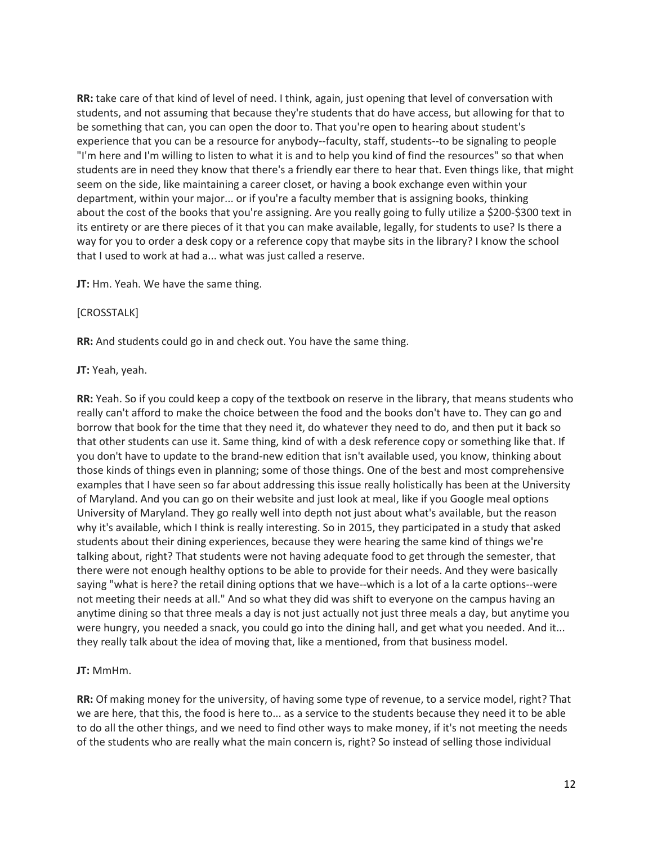**RR:** take care of that kind of level of need. I think, again, just opening that level of conversation with students, and not assuming that because they're students that do have access, but allowing for that to be something that can, you can open the door to. That you're open to hearing about student's experience that you can be a resource for anybody--faculty, staff, students--to be signaling to people "I'm here and I'm willing to listen to what it is and to help you kind of find the resources" so that when students are in need they know that there's a friendly ear there to hear that. Even things like, that might seem on the side, like maintaining a career closet, or having a book exchange even within your department, within your major... or if you're a faculty member that is assigning books, thinking about the cost of the books that you're assigning. Are you really going to fully utilize a \$200-\$300 text in its entirety or are there pieces of it that you can make available, legally, for students to use? Is there a way for you to order a desk copy or a reference copy that maybe sits in the library? I know the school that I used to work at had a... what was just called a reserve.

**JT:** Hm. Yeah. We have the same thing.

#### [CROSSTALK]

**RR:** And students could go in and check out. You have the same thing.

#### **JT:** Yeah, yeah.

**RR:** Yeah. So if you could keep a copy of the textbook on reserve in the library, that means students who really can't afford to make the choice between the food and the books don't have to. They can go and borrow that book for the time that they need it, do whatever they need to do, and then put it back so that other students can use it. Same thing, kind of with a desk reference copy or something like that. If you don't have to update to the brand-new edition that isn't available used, you know, thinking about those kinds of things even in planning; some of those things. One of the best and most comprehensive examples that I have seen so far about addressing this issue really holistically has been at the University of Maryland. And you can go on their website and just look at meal, like if you Google meal options University of Maryland. They go really well into depth not just about what's available, but the reason why it's available, which I think is really interesting. So in 2015, they participated in a study that asked students about their dining experiences, because they were hearing the same kind of things we're talking about, right? That students were not having adequate food to get through the semester, that there were not enough healthy options to be able to provide for their needs. And they were basically saying "what is here? the retail dining options that we have--which is a lot of a la carte options--were not meeting their needs at all." And so what they did was shift to everyone on the campus having an anytime dining so that three meals a day is not just actually not just three meals a day, but anytime you were hungry, you needed a snack, you could go into the dining hall, and get what you needed. And it... they really talk about the idea of moving that, like a mentioned, from that business model.

### **JT:** MmHm.

**RR:** Of making money for the university, of having some type of revenue, to a service model, right? That we are here, that this, the food is here to... as a service to the students because they need it to be able to do all the other things, and we need to find other ways to make money, if it's not meeting the needs of the students who are really what the main concern is, right? So instead of selling those individual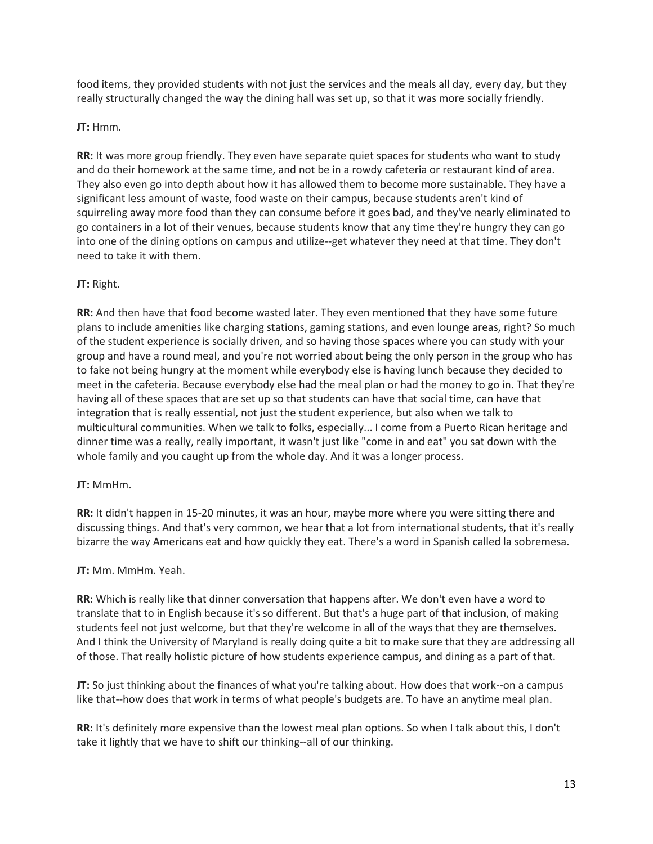food items, they provided students with not just the services and the meals all day, every day, but they really structurally changed the way the dining hall was set up, so that it was more socially friendly.

# **JT:** Hmm.

**RR:** It was more group friendly. They even have separate quiet spaces for students who want to study and do their homework at the same time, and not be in a rowdy cafeteria or restaurant kind of area. They also even go into depth about how it has allowed them to become more sustainable. They have a significant less amount of waste, food waste on their campus, because students aren't kind of squirreling away more food than they can consume before it goes bad, and they've nearly eliminated to go containers in a lot of their venues, because students know that any time they're hungry they can go into one of the dining options on campus and utilize--get whatever they need at that time. They don't need to take it with them.

# **JT:** Right.

**RR:** And then have that food become wasted later. They even mentioned that they have some future plans to include amenities like charging stations, gaming stations, and even lounge areas, right? So much of the student experience is socially driven, and so having those spaces where you can study with your group and have a round meal, and you're not worried about being the only person in the group who has to fake not being hungry at the moment while everybody else is having lunch because they decided to meet in the cafeteria. Because everybody else had the meal plan or had the money to go in. That they're having all of these spaces that are set up so that students can have that social time, can have that integration that is really essential, not just the student experience, but also when we talk to multicultural communities. When we talk to folks, especially... I come from a Puerto Rican heritage and dinner time was a really, really important, it wasn't just like "come in and eat" you sat down with the whole family and you caught up from the whole day. And it was a longer process.

### **JT:** MmHm.

**RR:** It didn't happen in 15-20 minutes, it was an hour, maybe more where you were sitting there and discussing things. And that's very common, we hear that a lot from international students, that it's really bizarre the way Americans eat and how quickly they eat. There's a word in Spanish called la sobremesa.

### **JT:** Mm. MmHm. Yeah.

**RR:** Which is really like that dinner conversation that happens after. We don't even have a word to translate that to in English because it's so different. But that's a huge part of that inclusion, of making students feel not just welcome, but that they're welcome in all of the ways that they are themselves. And I think the University of Maryland is really doing quite a bit to make sure that they are addressing all of those. That really holistic picture of how students experience campus, and dining as a part of that.

**JT:** So just thinking about the finances of what you're talking about. How does that work--on a campus like that--how does that work in terms of what people's budgets are. To have an anytime meal plan.

**RR:** It's definitely more expensive than the lowest meal plan options. So when I talk about this, I don't take it lightly that we have to shift our thinking--all of our thinking.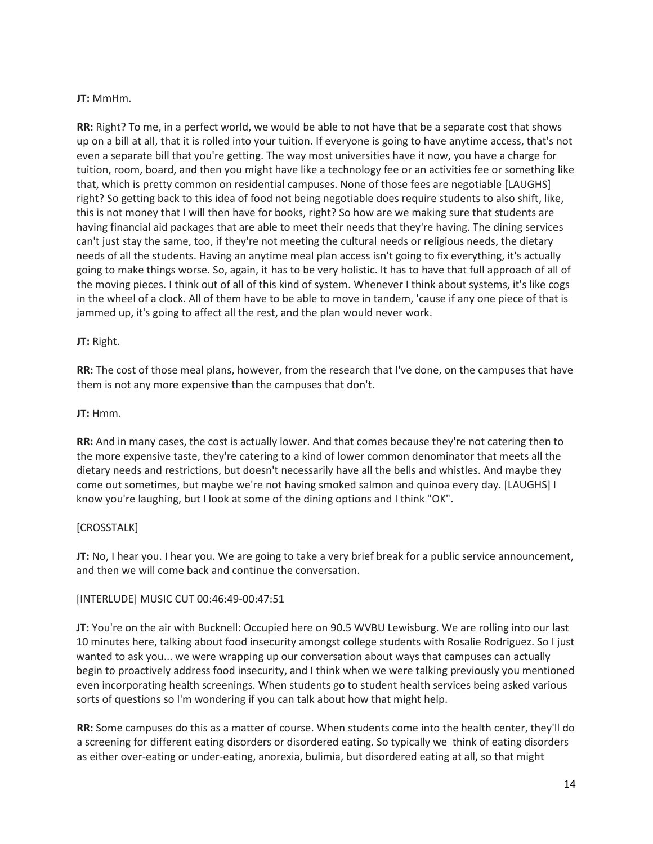# **JT:** MmHm.

**RR:** Right? To me, in a perfect world, we would be able to not have that be a separate cost that shows up on a bill at all, that it is rolled into your tuition. If everyone is going to have anytime access, that's not even a separate bill that you're getting. The way most universities have it now, you have a charge for tuition, room, board, and then you might have like a technology fee or an activities fee or something like that, which is pretty common on residential campuses. None of those fees are negotiable [LAUGHS] right? So getting back to this idea of food not being negotiable does require students to also shift, like, this is not money that I will then have for books, right? So how are we making sure that students are having financial aid packages that are able to meet their needs that they're having. The dining services can't just stay the same, too, if they're not meeting the cultural needs or religious needs, the dietary needs of all the students. Having an anytime meal plan access isn't going to fix everything, it's actually going to make things worse. So, again, it has to be very holistic. It has to have that full approach of all of the moving pieces. I think out of all of this kind of system. Whenever I think about systems, it's like cogs in the wheel of a clock. All of them have to be able to move in tandem, 'cause if any one piece of that is jammed up, it's going to affect all the rest, and the plan would never work.

### **JT:** Right.

**RR:** The cost of those meal plans, however, from the research that I've done, on the campuses that have them is not any more expensive than the campuses that don't.

### **JT:** Hmm.

**RR:** And in many cases, the cost is actually lower. And that comes because they're not catering then to the more expensive taste, they're catering to a kind of lower common denominator that meets all the dietary needs and restrictions, but doesn't necessarily have all the bells and whistles. And maybe they come out sometimes, but maybe we're not having smoked salmon and quinoa every day. [LAUGHS] I know you're laughing, but I look at some of the dining options and I think "OK".

### [CROSSTALK]

**JT:** No, I hear you. I hear you. We are going to take a very brief break for a public service announcement, and then we will come back and continue the conversation.

### [INTERLUDE] MUSIC CUT 00:46:49-00:47:51

**JT:** You're on the air with Bucknell: Occupied here on 90.5 WVBU Lewisburg. We are rolling into our last 10 minutes here, talking about food insecurity amongst college students with Rosalie Rodriguez. So I just wanted to ask you... we were wrapping up our conversation about ways that campuses can actually begin to proactively address food insecurity, and I think when we were talking previously you mentioned even incorporating health screenings. When students go to student health services being asked various sorts of questions so I'm wondering if you can talk about how that might help.

**RR:** Some campuses do this as a matter of course. When students come into the health center, they'll do a screening for different eating disorders or disordered eating. So typically we think of eating disorders as either over-eating or under-eating, anorexia, bulimia, but disordered eating at all, so that might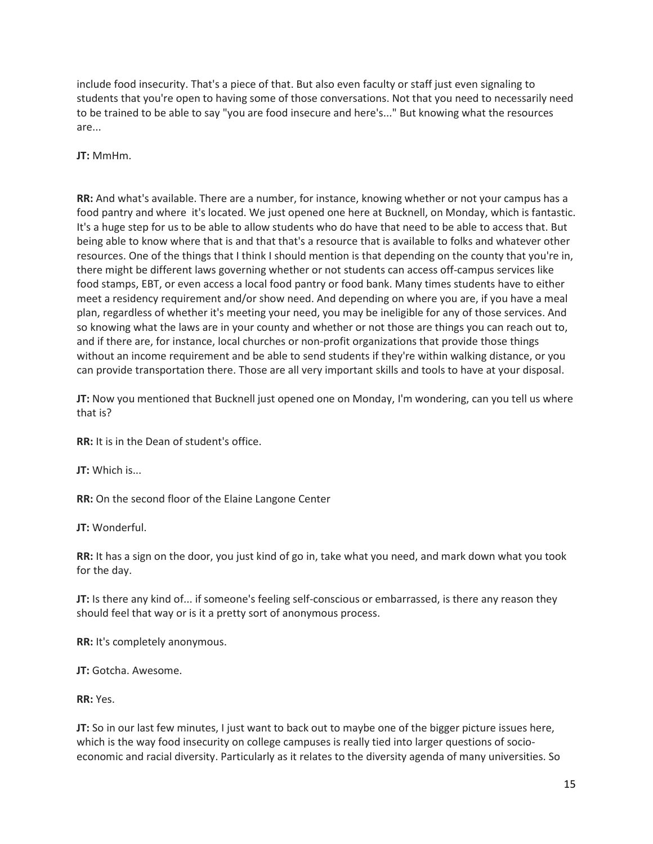include food insecurity. That's a piece of that. But also even faculty or staff just even signaling to students that you're open to having some of those conversations. Not that you need to necessarily need to be trained to be able to say "you are food insecure and here's..." But knowing what the resources are...

**JT:** MmHm.

**RR:** And what's available. There are a number, for instance, knowing whether or not your campus has a food pantry and where it's located. We just opened one here at Bucknell, on Monday, which is fantastic. It's a huge step for us to be able to allow students who do have that need to be able to access that. But being able to know where that is and that that's a resource that is available to folks and whatever other resources. One of the things that I think I should mention is that depending on the county that you're in, there might be different laws governing whether or not students can access off-campus services like food stamps, EBT, or even access a local food pantry or food bank. Many times students have to either meet a residency requirement and/or show need. And depending on where you are, if you have a meal plan, regardless of whether it's meeting your need, you may be ineligible for any of those services. And so knowing what the laws are in your county and whether or not those are things you can reach out to, and if there are, for instance, local churches or non-profit organizations that provide those things without an income requirement and be able to send students if they're within walking distance, or you can provide transportation there. Those are all very important skills and tools to have at your disposal.

**JT:** Now you mentioned that Bucknell just opened one on Monday, I'm wondering, can you tell us where that is?

**RR:** It is in the Dean of student's office.

**JT:** Which is...

**RR:** On the second floor of the Elaine Langone Center

**JT:** Wonderful.

**RR:** It has a sign on the door, you just kind of go in, take what you need, and mark down what you took for the day.

**JT:** Is there any kind of... if someone's feeling self-conscious or embarrassed, is there any reason they should feel that way or is it a pretty sort of anonymous process.

**RR:** It's completely anonymous.

**JT:** Gotcha. Awesome.

**RR:** Yes.

**JT:** So in our last few minutes, I just want to back out to maybe one of the bigger picture issues here, which is the way food insecurity on college campuses is really tied into larger questions of socioeconomic and racial diversity. Particularly as it relates to the diversity agenda of many universities. So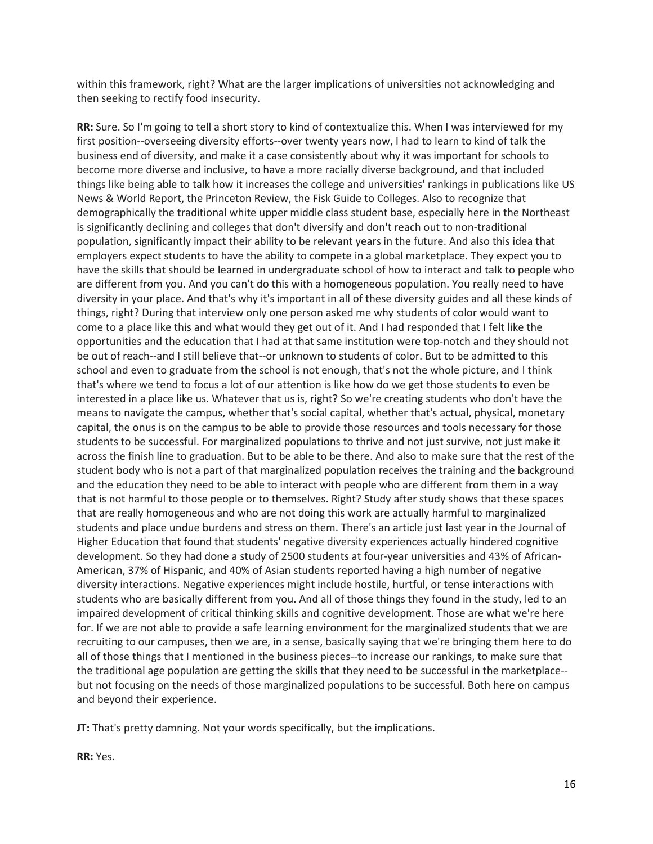within this framework, right? What are the larger implications of universities not acknowledging and then seeking to rectify food insecurity.

**RR:** Sure. So I'm going to tell a short story to kind of contextualize this. When I was interviewed for my first position--overseeing diversity efforts--over twenty years now, I had to learn to kind of talk the business end of diversity, and make it a case consistently about why it was important for schools to become more diverse and inclusive, to have a more racially diverse background, and that included things like being able to talk how it increases the college and universities' rankings in publications like US News & World Report, the Princeton Review, the Fisk Guide to Colleges. Also to recognize that demographically the traditional white upper middle class student base, especially here in the Northeast is significantly declining and colleges that don't diversify and don't reach out to non-traditional population, significantly impact their ability to be relevant years in the future. And also this idea that employers expect students to have the ability to compete in a global marketplace. They expect you to have the skills that should be learned in undergraduate school of how to interact and talk to people who are different from you. And you can't do this with a homogeneous population. You really need to have diversity in your place. And that's why it's important in all of these diversity guides and all these kinds of things, right? During that interview only one person asked me why students of color would want to come to a place like this and what would they get out of it. And I had responded that I felt like the opportunities and the education that I had at that same institution were top-notch and they should not be out of reach--and I still believe that--or unknown to students of color. But to be admitted to this school and even to graduate from the school is not enough, that's not the whole picture, and I think that's where we tend to focus a lot of our attention is like how do we get those students to even be interested in a place like us. Whatever that us is, right? So we're creating students who don't have the means to navigate the campus, whether that's social capital, whether that's actual, physical, monetary capital, the onus is on the campus to be able to provide those resources and tools necessary for those students to be successful. For marginalized populations to thrive and not just survive, not just make it across the finish line to graduation. But to be able to be there. And also to make sure that the rest of the student body who is not a part of that marginalized population receives the training and the background and the education they need to be able to interact with people who are different from them in a way that is not harmful to those people or to themselves. Right? Study after study shows that these spaces that are really homogeneous and who are not doing this work are actually harmful to marginalized students and place undue burdens and stress on them. There's an article just last year in the Journal of Higher Education that found that students' negative diversity experiences actually hindered cognitive development. So they had done a study of 2500 students at four-year universities and 43% of African-American, 37% of Hispanic, and 40% of Asian students reported having a high number of negative diversity interactions. Negative experiences might include hostile, hurtful, or tense interactions with students who are basically different from you. And all of those things they found in the study, led to an impaired development of critical thinking skills and cognitive development. Those are what we're here for. If we are not able to provide a safe learning environment for the marginalized students that we are recruiting to our campuses, then we are, in a sense, basically saying that we're bringing them here to do all of those things that I mentioned in the business pieces--to increase our rankings, to make sure that the traditional age population are getting the skills that they need to be successful in the marketplace- but not focusing on the needs of those marginalized populations to be successful. Both here on campus and beyond their experience.

**JT:** That's pretty damning. Not your words specifically, but the implications.

**RR:** Yes.